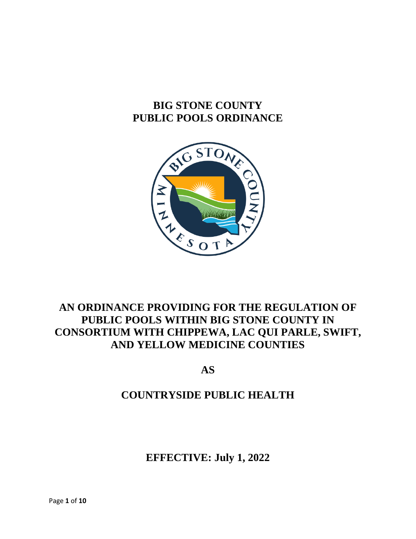# **BIG STONE COUNTY PUBLIC POOLS ORDINANCE**



# **AN ORDINANCE PROVIDING FOR THE REGULATION OF PUBLIC POOLS WITHIN BIG STONE COUNTY IN CONSORTIUM WITH CHIPPEWA, LAC QUI PARLE, SWIFT, AND YELLOW MEDICINE COUNTIES**

**AS**

# **COUNTRYSIDE PUBLIC HEALTH**

**EFFECTIVE: July 1, 2022**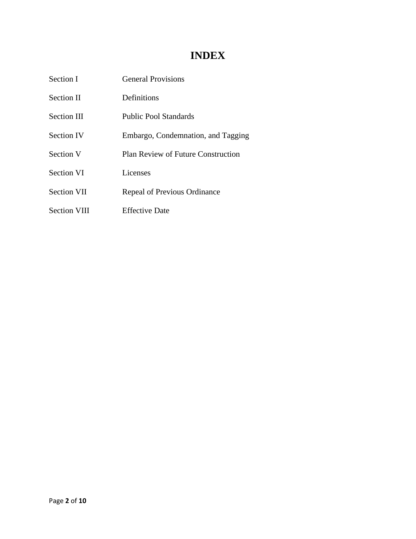## **INDEX**

| Section I           | <b>General Provisions</b>                 |
|---------------------|-------------------------------------------|
| Section II          | <b>Definitions</b>                        |
| Section III         | Public Pool Standards                     |
| <b>Section IV</b>   | Embargo, Condemnation, and Tagging        |
| Section V           | <b>Plan Review of Future Construction</b> |
| <b>Section VI</b>   | Licenses                                  |
| <b>Section VII</b>  | <b>Repeal of Previous Ordinance</b>       |
| <b>Section VIII</b> | <b>Effective Date</b>                     |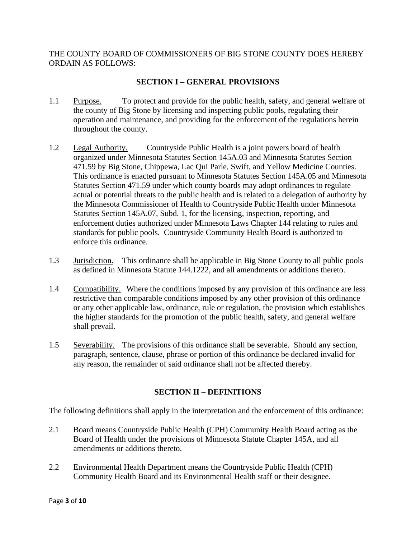### THE COUNTY BOARD OF COMMISSIONERS OF BIG STONE COUNTY DOES HEREBY ORDAIN AS FOLLOWS:

## **SECTION I – GENERAL PROVISIONS**

- 1.1 Purpose. To protect and provide for the public health, safety, and general welfare of the county of Big Stone by licensing and inspecting public pools, regulating their operation and maintenance, and providing for the enforcement of the regulations herein throughout the county.
- 1.2 Legal Authority. Countryside Public Health is a joint powers board of health organized under Minnesota Statutes Section 145A.03 and Minnesota Statutes Section 471.59 by Big Stone, Chippewa, Lac Qui Parle, Swift, and Yellow Medicine Counties. This ordinance is enacted pursuant to Minnesota Statutes Section 145A.05 and Minnesota Statutes Section 471.59 under which county boards may adopt ordinances to regulate actual or potential threats to the public health and is related to a delegation of authority by the Minnesota Commissioner of Health to Countryside Public Health under Minnesota Statutes Section 145A.07, Subd. 1, for the licensing, inspection, reporting, and enforcement duties authorized under Minnesota Laws Chapter 144 relating to rules and standards for public pools. Countryside Community Health Board is authorized to enforce this ordinance.
- 1.3 Jurisdiction. This ordinance shall be applicable in Big Stone County to all public pools as defined in Minnesota Statute 144.1222, and all amendments or additions thereto.
- 1.4 Compatibility. Where the conditions imposed by any provision of this ordinance are less restrictive than comparable conditions imposed by any other provision of this ordinance or any other applicable law, ordinance, rule or regulation, the provision which establishes the higher standards for the promotion of the public health, safety, and general welfare shall prevail.
- 1.5 Severability. The provisions of this ordinance shall be severable. Should any section, paragraph, sentence, clause, phrase or portion of this ordinance be declared invalid for any reason, the remainder of said ordinance shall not be affected thereby.

## **SECTION II – DEFINITIONS**

The following definitions shall apply in the interpretation and the enforcement of this ordinance:

- 2.1 Board means Countryside Public Health (CPH) Community Health Board acting as the Board of Health under the provisions of Minnesota Statute Chapter 145A, and all amendments or additions thereto.
- 2.2 Environmental Health Department means the Countryside Public Health (CPH) Community Health Board and its Environmental Health staff or their designee.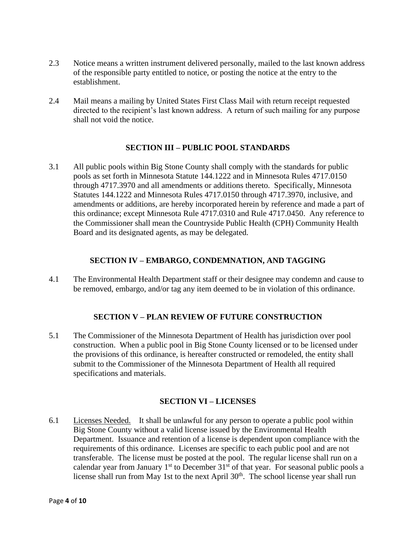- 2.3 Notice means a written instrument delivered personally, mailed to the last known address of the responsible party entitled to notice, or posting the notice at the entry to the establishment.
- 2.4 Mail means a mailing by United States First Class Mail with return receipt requested directed to the recipient's last known address. A return of such mailing for any purpose shall not void the notice.

### **SECTION III – PUBLIC POOL STANDARDS**

3.1 All public pools within Big Stone County shall comply with the standards for public pools as set forth in Minnesota Statute 144.1222 and in Minnesota Rules 4717.0150 through 4717.3970 and all amendments or additions thereto. Specifically, Minnesota Statutes 144.1222 and Minnesota Rules 4717.0150 through 4717.3970, inclusive, and amendments or additions, are hereby incorporated herein by reference and made a part of this ordinance; except Minnesota Rule 4717.0310 and Rule 4717.0450. Any reference to the Commissioner shall mean the Countryside Public Health (CPH) Community Health Board and its designated agents, as may be delegated.

#### **SECTION IV – EMBARGO, CONDEMNATION, AND TAGGING**

4.1 The Environmental Health Department staff or their designee may condemn and cause to be removed, embargo, and/or tag any item deemed to be in violation of this ordinance.

#### **SECTION V – PLAN REVIEW OF FUTURE CONSTRUCTION**

5.1 The Commissioner of the Minnesota Department of Health has jurisdiction over pool construction. When a public pool in Big Stone County licensed or to be licensed under the provisions of this ordinance, is hereafter constructed or remodeled, the entity shall submit to the Commissioner of the Minnesota Department of Health all required specifications and materials.

#### **SECTION VI – LICENSES**

6.1 Licenses Needed. It shall be unlawful for any person to operate a public pool within Big Stone County without a valid license issued by the Environmental Health Department. Issuance and retention of a license is dependent upon compliance with the requirements of this ordinance. Licenses are specific to each public pool and are not transferable. The license must be posted at the pool. The regular license shall run on a calendar year from January  $1<sup>st</sup>$  to December  $31<sup>st</sup>$  of that year. For seasonal public pools a license shall run from May 1st to the next April 30<sup>th</sup>. The school license year shall run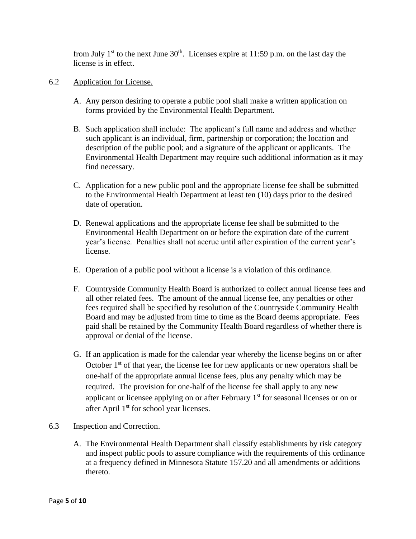from July  $1<sup>st</sup>$  to the next June  $30<sup>th</sup>$ . Licenses expire at 11:59 p.m. on the last day the license is in effect.

- 6.2 Application for License.
	- A. Any person desiring to operate a public pool shall make a written application on forms provided by the Environmental Health Department.
	- B. Such application shall include: The applicant's full name and address and whether such applicant is an individual, firm, partnership or corporation; the location and description of the public pool; and a signature of the applicant or applicants. The Environmental Health Department may require such additional information as it may find necessary.
	- C. Application for a new public pool and the appropriate license fee shall be submitted to the Environmental Health Department at least ten (10) days prior to the desired date of operation.
	- D. Renewal applications and the appropriate license fee shall be submitted to the Environmental Health Department on or before the expiration date of the current year's license. Penalties shall not accrue until after expiration of the current year's license.
	- E. Operation of a public pool without a license is a violation of this ordinance.
	- F. Countryside Community Health Board is authorized to collect annual license fees and all other related fees. The amount of the annual license fee, any penalties or other fees required shall be specified by resolution of the Countryside Community Health Board and may be adjusted from time to time as the Board deems appropriate. Fees paid shall be retained by the Community Health Board regardless of whether there is approval or denial of the license.
	- G. If an application is made for the calendar year whereby the license begins on or after October  $1<sup>st</sup>$  of that year, the license fee for new applicants or new operators shall be one-half of the appropriate annual license fees, plus any penalty which may be required. The provision for one-half of the license fee shall apply to any new applicant or licensee applying on or after February 1<sup>st</sup> for seasonal licenses or on or after April 1<sup>st</sup> for school year licenses.

#### 6.3 Inspection and Correction.

A. The Environmental Health Department shall classify establishments by risk category and inspect public pools to assure compliance with the requirements of this ordinance at a frequency defined in Minnesota Statute 157.20 and all amendments or additions thereto.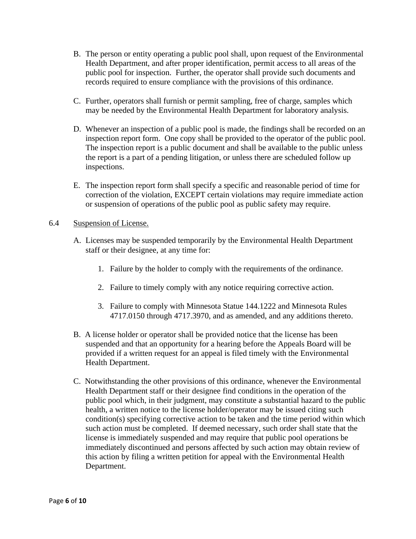- B. The person or entity operating a public pool shall, upon request of the Environmental Health Department, and after proper identification, permit access to all areas of the public pool for inspection. Further, the operator shall provide such documents and records required to ensure compliance with the provisions of this ordinance.
- C. Further, operators shall furnish or permit sampling, free of charge, samples which may be needed by the Environmental Health Department for laboratory analysis.
- D. Whenever an inspection of a public pool is made, the findings shall be recorded on an inspection report form. One copy shall be provided to the operator of the public pool. The inspection report is a public document and shall be available to the public unless the report is a part of a pending litigation, or unless there are scheduled follow up inspections.
- E. The inspection report form shall specify a specific and reasonable period of time for correction of the violation, EXCEPT certain violations may require immediate action or suspension of operations of the public pool as public safety may require.

#### 6.4 Suspension of License.

- A. Licenses may be suspended temporarily by the Environmental Health Department staff or their designee, at any time for:
	- 1. Failure by the holder to comply with the requirements of the ordinance.
	- 2. Failure to timely comply with any notice requiring corrective action.
	- 3. Failure to comply with Minnesota Statue 144.1222 and Minnesota Rules 4717.0150 through 4717.3970, and as amended, and any additions thereto.
- B. A license holder or operator shall be provided notice that the license has been suspended and that an opportunity for a hearing before the Appeals Board will be provided if a written request for an appeal is filed timely with the Environmental Health Department.
- C. Notwithstanding the other provisions of this ordinance, whenever the Environmental Health Department staff or their designee find conditions in the operation of the public pool which, in their judgment, may constitute a substantial hazard to the public health, a written notice to the license holder/operator may be issued citing such condition(s) specifying corrective action to be taken and the time period within which such action must be completed. If deemed necessary, such order shall state that the license is immediately suspended and may require that public pool operations be immediately discontinued and persons affected by such action may obtain review of this action by filing a written petition for appeal with the Environmental Health Department.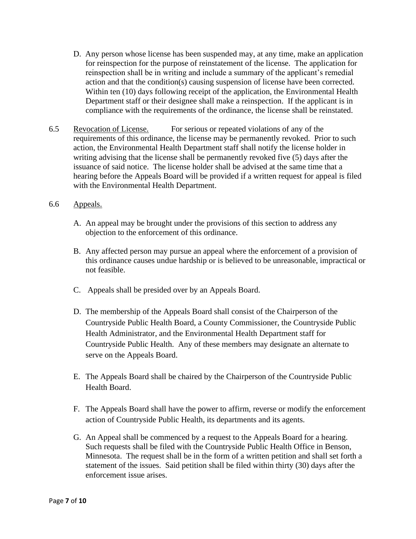- D. Any person whose license has been suspended may, at any time, make an application for reinspection for the purpose of reinstatement of the license. The application for reinspection shall be in writing and include a summary of the applicant's remedial action and that the condition(s) causing suspension of license have been corrected. Within ten (10) days following receipt of the application, the Environmental Health Department staff or their designee shall make a reinspection. If the applicant is in compliance with the requirements of the ordinance, the license shall be reinstated.
- 6.5 Revocation of License. For serious or repeated violations of any of the requirements of this ordinance, the license may be permanently revoked. Prior to such action, the Environmental Health Department staff shall notify the license holder in writing advising that the license shall be permanently revoked five (5) days after the issuance of said notice. The license holder shall be advised at the same time that a hearing before the Appeals Board will be provided if a written request for appeal is filed with the Environmental Health Department.

#### 6.6 Appeals.

- A. An appeal may be brought under the provisions of this section to address any objection to the enforcement of this ordinance.
- B. Any affected person may pursue an appeal where the enforcement of a provision of this ordinance causes undue hardship or is believed to be unreasonable, impractical or not feasible.
- C. Appeals shall be presided over by an Appeals Board.
- D. The membership of the Appeals Board shall consist of the Chairperson of the Countryside Public Health Board, a County Commissioner, the Countryside Public Health Administrator, and the Environmental Health Department staff for Countryside Public Health. Any of these members may designate an alternate to serve on the Appeals Board.
- E. The Appeals Board shall be chaired by the Chairperson of the Countryside Public Health Board.
- F. The Appeals Board shall have the power to affirm, reverse or modify the enforcement action of Countryside Public Health, its departments and its agents.
- G. An Appeal shall be commenced by a request to the Appeals Board for a hearing. Such requests shall be filed with the Countryside Public Health Office in Benson, Minnesota. The request shall be in the form of a written petition and shall set forth a statement of the issues. Said petition shall be filed within thirty (30) days after the enforcement issue arises.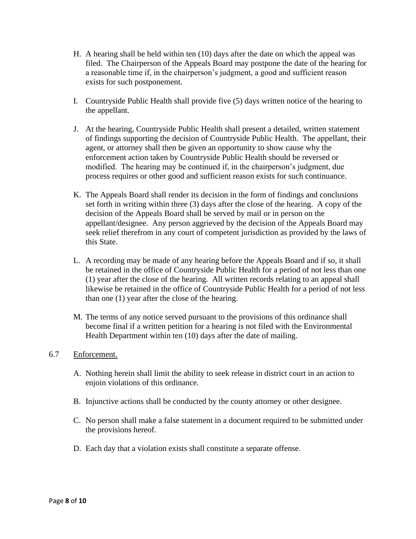- H. A hearing shall be held within ten (10) days after the date on which the appeal was filed. The Chairperson of the Appeals Board may postpone the date of the hearing for a reasonable time if, in the chairperson's judgment, a good and sufficient reason exists for such postponement.
- I. Countryside Public Health shall provide five (5) days written notice of the hearing to the appellant.
- J. At the hearing, Countryside Public Health shall present a detailed, written statement of findings supporting the decision of Countryside Public Health. The appellant, their agent, or attorney shall then be given an opportunity to show cause why the enforcement action taken by Countryside Public Health should be reversed or modified. The hearing may be continued if, in the chairperson's judgment, due process requires or other good and sufficient reason exists for such continuance.
- K. The Appeals Board shall render its decision in the form of findings and conclusions set forth in writing within three (3) days after the close of the hearing. A copy of the decision of the Appeals Board shall be served by mail or in person on the appellant/designee. Any person aggrieved by the decision of the Appeals Board may seek relief therefrom in any court of competent jurisdiction as provided by the laws of this State.
- L. A recording may be made of any hearing before the Appeals Board and if so, it shall be retained in the office of Countryside Public Health for a period of not less than one (1) year after the close of the hearing. All written records relating to an appeal shall likewise be retained in the office of Countryside Public Health for a period of not less than one (1) year after the close of the hearing.
- M. The terms of any notice served pursuant to the provisions of this ordinance shall become final if a written petition for a hearing is not filed with the Environmental Health Department within ten (10) days after the date of mailing.

#### 6.7 Enforcement.

- A. Nothing herein shall limit the ability to seek release in district court in an action to enjoin violations of this ordinance.
- B. Injunctive actions shall be conducted by the county attorney or other designee.
- C. No person shall make a false statement in a document required to be submitted under the provisions hereof.
- D. Each day that a violation exists shall constitute a separate offense.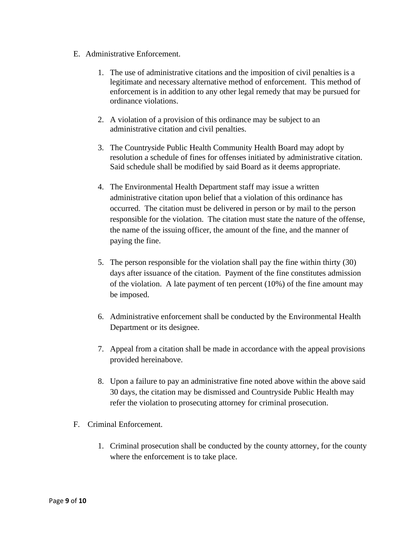- E. Administrative Enforcement.
	- 1. The use of administrative citations and the imposition of civil penalties is a legitimate and necessary alternative method of enforcement. This method of enforcement is in addition to any other legal remedy that may be pursued for ordinance violations.
	- 2. A violation of a provision of this ordinance may be subject to an administrative citation and civil penalties.
	- 3. The Countryside Public Health Community Health Board may adopt by resolution a schedule of fines for offenses initiated by administrative citation. Said schedule shall be modified by said Board as it deems appropriate.
	- 4. The Environmental Health Department staff may issue a written administrative citation upon belief that a violation of this ordinance has occurred. The citation must be delivered in person or by mail to the person responsible for the violation. The citation must state the nature of the offense, the name of the issuing officer, the amount of the fine, and the manner of paying the fine.
	- 5. The person responsible for the violation shall pay the fine within thirty (30) days after issuance of the citation. Payment of the fine constitutes admission of the violation. A late payment of ten percent (10%) of the fine amount may be imposed.
	- 6. Administrative enforcement shall be conducted by the Environmental Health Department or its designee.
	- 7. Appeal from a citation shall be made in accordance with the appeal provisions provided hereinabove.
	- 8. Upon a failure to pay an administrative fine noted above within the above said 30 days, the citation may be dismissed and Countryside Public Health may refer the violation to prosecuting attorney for criminal prosecution.
- F. Criminal Enforcement.
	- 1. Criminal prosecution shall be conducted by the county attorney, for the county where the enforcement is to take place.